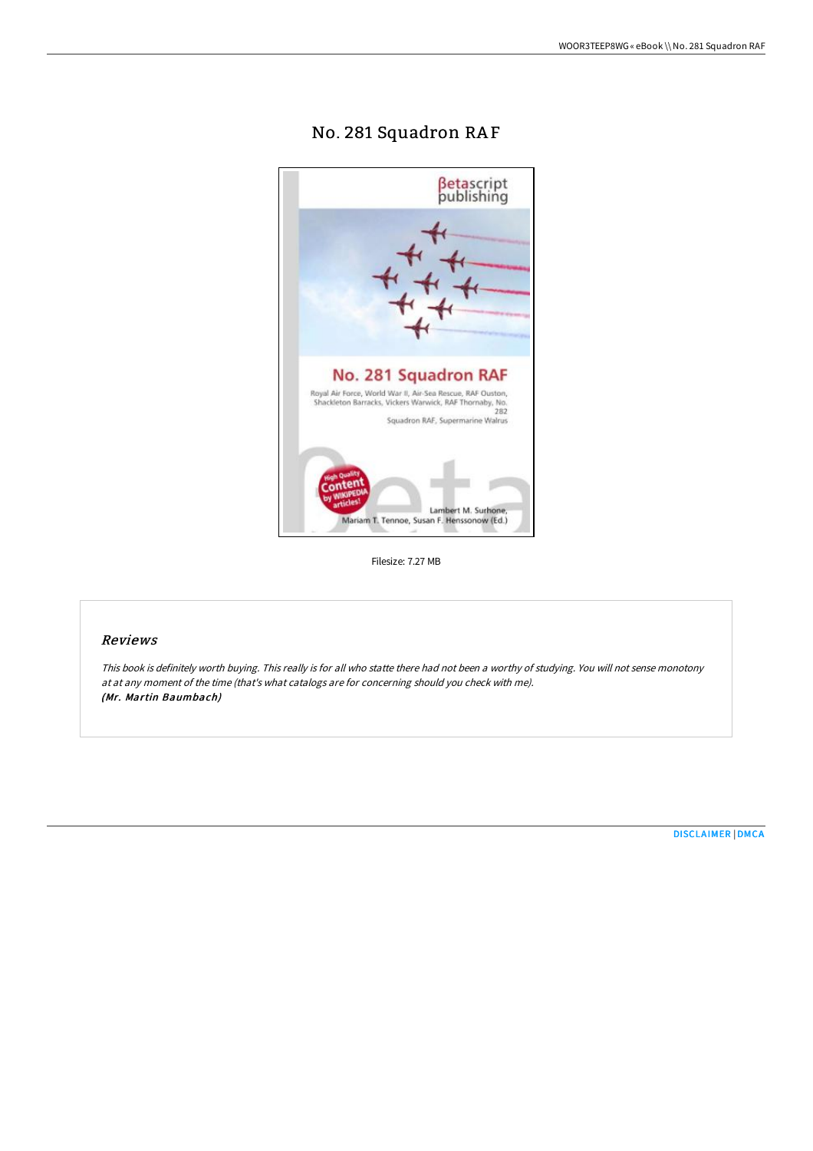# No. 281 Squadron RA F



Filesize: 7.27 MB

# Reviews

This book is definitely worth buying. This really is for all who statte there had not been <sup>a</sup> worthy of studying. You will not sense monotony at at any moment of the time (that's what catalogs are for concerning should you check with me). (Mr. Martin Baumbach)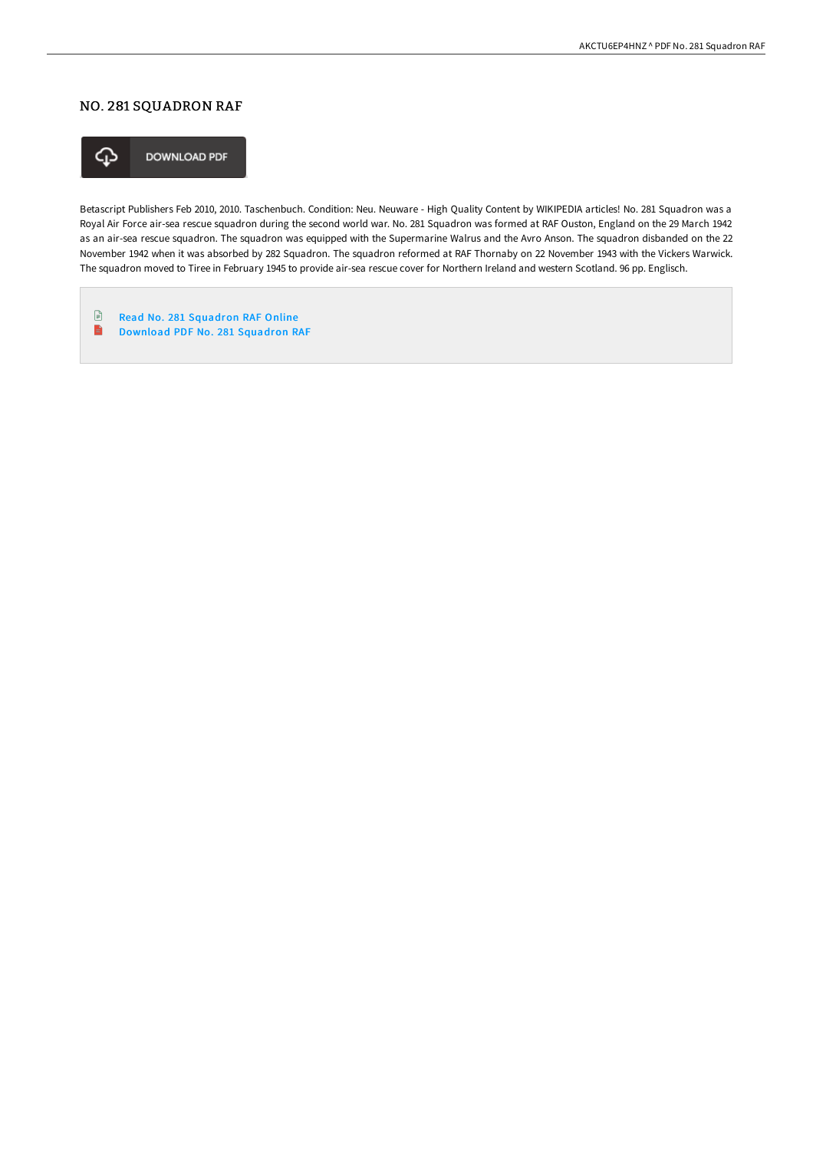# NO. 281 SQUADRON RAF



**DOWNLOAD PDF** 

Betascript Publishers Feb 2010, 2010. Taschenbuch. Condition: Neu. Neuware - High Quality Content by WIKIPEDIA articles! No. 281 Squadron was a Royal Air Force air-sea rescue squadron during the second world war. No. 281 Squadron was formed at RAF Ouston, England on the 29 March 1942 as an air-sea rescue squadron. The squadron was equipped with the Supermarine Walrus and the Avro Anson. The squadron disbanded on the 22 November 1942 when it was absorbed by 282 Squadron. The squadron reformed at RAF Thornaby on 22 November 1943 with the Vickers Warwick. The squadron moved to Tiree in February 1945 to provide air-sea rescue cover for Northern Ireland and western Scotland. 96 pp. Englisch.

 $\mathbf{F}$ Read No. 281 [Squadron](http://albedo.media/no-281-squadron-raf.html) RAF Online  $\blacksquare$ 

[Download](http://albedo.media/no-281-squadron-raf.html) PDF No. 281 Squadron RAF